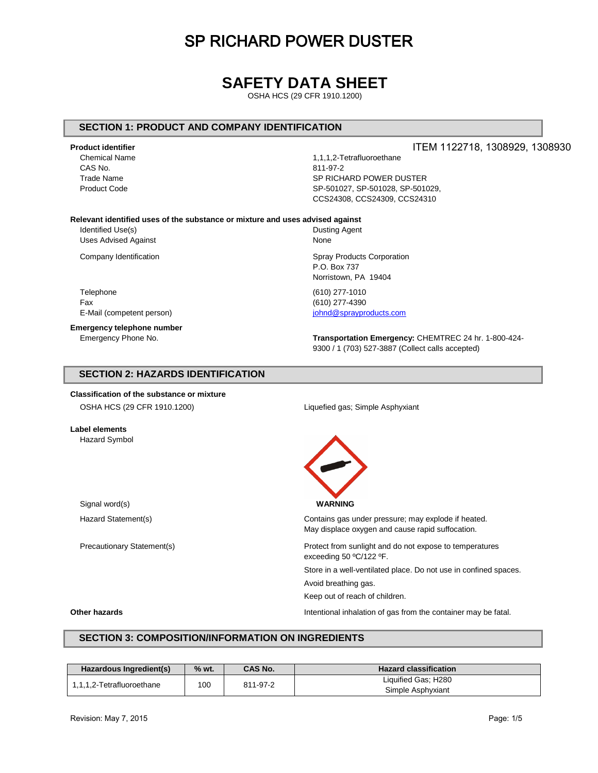### **SAFETY DATA SHEET**

OSHA HCS (29 CFR 1910.1200)

#### **SECTION 1: PRODUCT AND COMPANY IDENTIFICATION**

#### **Product identifier**

CAS No. 811-97-2

Chemical Name 1,1,1,2-Tetrafluoroethane Trade Name SP RICHARD POWER DUSTER Product Code SP-501027, SP-501028, SP-501029, CCS24308, CCS24309, CCS24310

**Relevant identified uses of the substance or mixture and uses advised against**

Identified Use(s) and the control of the Dusting Agent Uses Advised Against None

Telephone (610) 277-1010 Fax (610) 277-4390 E-Mail (competent person) in the set of the set of the set of the sprayproducts.com

**Emergency telephone number**

Company Identification Company Identification Spray Products Corporation P.O. Box 737 Norristown, PA 19404

Emergency Phone No. **Transportation Emergency:** CHEMTREC 24 hr. 1-800-424- 9300 / 1 (703) 527-3887 (Collect calls accepted)

#### **SECTION 2: HAZARDS IDENTIFICATION**

**Classification of the substance or mixture** OSHA HCS (29 CFR 1910.1200) Liquefied gas; Simple Asphyxiant



Precautionary Statement(s) Protect from sunlight and do not expose to temperatures exceeding 50 ºC/122 ºF.

Store in a well-ventilated place. Do not use in confined spaces.

Avoid breathing gas.

Keep out of reach of children.

**Other hazards Intentional inhalation of gas from the container may be fatal.** 

**Label elements** Hazard Symbol

#### **SECTION 3: COMPOSITION/INFORMATION ON INGREDIENTS**

| Hazardous Ingredient(s)   | % wt. | <b>CAS No.</b> | <b>Hazard classification</b> |  |  |
|---------------------------|-------|----------------|------------------------------|--|--|
| 1,1,1,2-Tetrafluoroethane | 100   | 811-97-2       | Liquified Gas; H280          |  |  |
|                           |       |                | Simple Asphyxiant            |  |  |

ITEM 1122718, 1308929, 1308930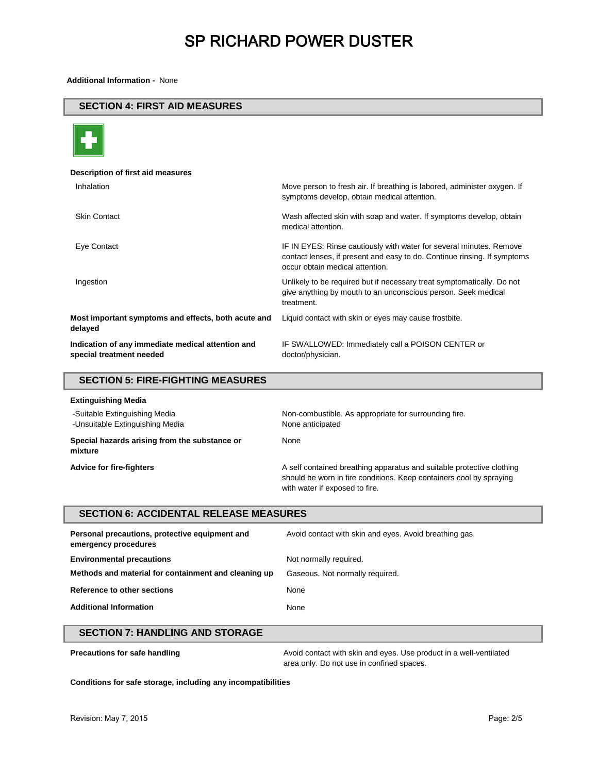**Additional Information -** None

#### **SECTION 4: FIRST AID MEASURES**



#### **Description of first aid measures** Inhalation **Move person to fresh air. If breathing is labored, administer oxygen.** If symptoms develop, obtain medical attention. Skin Contact Wash affected skin with soap and water. If symptoms develop, obtain medical attention. Eye Contact IF IN EYES: Rinse cautiously with water for several minutes. Remove contact lenses, if present and easy to do. Continue rinsing. If symptoms occur obtain medical attention. Ingestion Unlikely to be required but if necessary treat symptomatically. Do not give anything by mouth to an unconscious person. Seek medical treatment. **Most important symptoms and effects, both acute and delayed** Liquid contact with skin or eyes may cause frostbite. **Indication of any immediate medical attention and special treatment needed** IF SWALLOWED: Immediately call a POISON CENTER or doctor/physician.

### **SECTION 5: FIRE-FIGHTING MEASURES Extinguishing Media** -Suitable Extinguishing Media Non-combustible. As appropriate for surrounding fire.

| -Suitable Extinguishing Media<br>-Unsuitable Extinguishing Media | Non-compustible. As appropriate for surrounding fire.<br>None anticipated                                                                                                      |
|------------------------------------------------------------------|--------------------------------------------------------------------------------------------------------------------------------------------------------------------------------|
| Special hazards arising from the substance or<br>mixture         | None                                                                                                                                                                           |
| <b>Advice for fire-fighters</b>                                  | A self contained breathing apparatus and suitable protective clothing<br>should be worn in fire conditions. Keep containers cool by spraying<br>with water if exposed to fire. |

#### **SECTION 6: ACCIDENTAL RELEASE MEASURES**

| Personal precautions, protective equipment and<br>emergency procedures | Avoid contact with skin and eyes. Avoid breathing gas. |
|------------------------------------------------------------------------|--------------------------------------------------------|
| <b>Environmental precautions</b>                                       | Not normally required.                                 |
| Methods and material for containment and cleaning up                   | Gaseous. Not normally required.                        |
| Reference to other sections                                            | None                                                   |
| <b>Additional Information</b>                                          | None                                                   |

#### **SECTION 7: HANDLING AND STORAGE**

**Precautions for safe handling Avoid contact with skin and eyes. Use product in a well-ventilated** area only. Do not use in confined spaces.

**Conditions for safe storage, including any incompatibilities**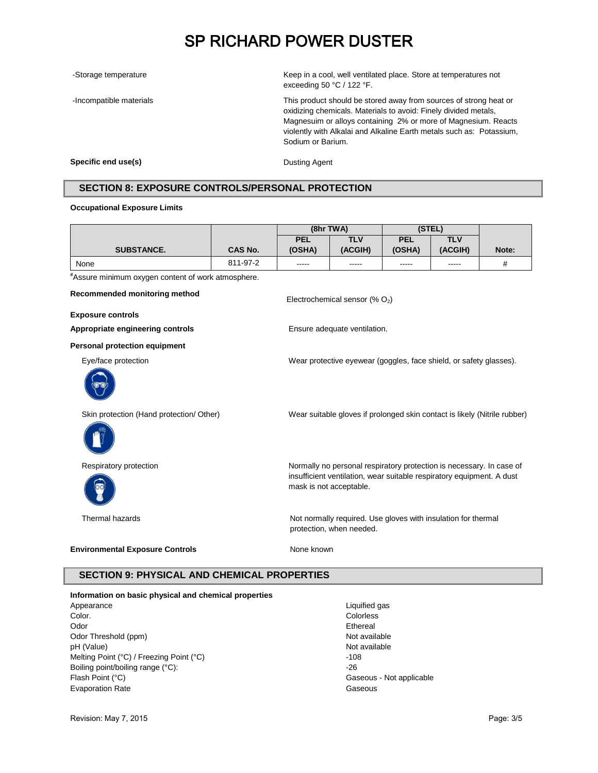-Storage temperature Keep in a cool, well ventilated place. Store at temperatures not exceeding 50 °C / 122 °F.

-Incompatible materials This product should be stored away from sources of strong heat or oxidizing chemicals. Materials to avoid: Finely divided metals, Magnesuim or alloys containing 2% or more of Magnesium. Reacts violently with Alkalai and Alkaline Earth metals such as: Potassium, Sodium or Barium.

**Specific end use(s)** Dusting Agent

#### **SECTION 8: EXPOSURE CONTROLS/PERSONAL PROTECTION**

#### **Occupational Exposure Limits**

|                   |          | (8hr TWA)  |         | (STEL)     |         |       |
|-------------------|----------|------------|---------|------------|---------|-------|
|                   |          | <b>PEL</b> | TLV     | <b>PEL</b> | TLV     |       |
| <b>SUBSTANCE.</b> | CAS No.  | (OSHA)     | (ACGIH) | (OSHA)     | (ACGIH) | Note: |
| None              | 811-97-2 | -----      | -----   | -----      | -----   | #     |
| $H$ .<br>. .<br>. |          |            |         |            |         |       |

Electrochemical sensor (%  $O<sub>2</sub>$ )

**#**Assure minimum oxygen content of work atmosphere.

**Recommended monitoring method**

**Exposure controls**

**Appropriate engineering controls** Ensure adequate ventilation.

**Personal protection equipment**

Eye/face protection Wear protective eyewear (goggles, face shield, or safety glasses).



Skin protection (Hand protection/ Other) Wear suitable gloves if prolonged skin contact is likely (Nitrile rubber)





Respiratory protection **Normally no personal respiratory protection** is necessary. In case of insufficient ventilation, wear suitable respiratory equipment. A dust mask is not acceptable.

Thermal hazards Not normally required. Use gloves with insulation for thermal protection, when needed.

#### **Environmental Exposure Controls** Mone known

#### **SECTION 9: PHYSICAL AND CHEMICAL PROPERTIES**

#### **Information on basic physical and chemical properties**

Appearance Liquified gas Color. Colorless Odor Ethereal Odor Threshold (ppm) Not available Not available pH (Value) Not available Melting Point (°C) / Freezing Point (°C)  $-108$ Boiling point/boiling range (°C):  $-26$ Flash Point (°C) **Flash Point (°C)** Gaseous - Not applicable Evaporation Rate Gaseous

Revision: May 7, 2015 **Page: 3/5**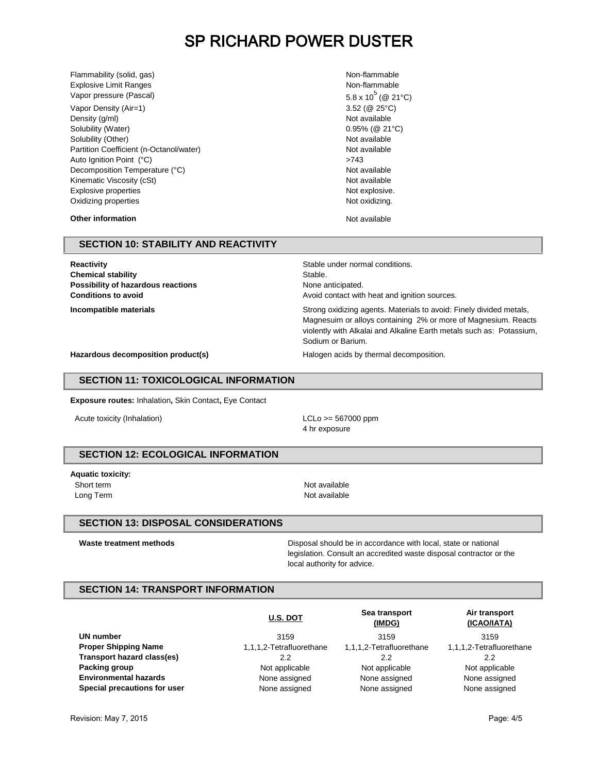Flammability (solid, gas) Non-flammabile and the state of the state of the state of the state of the state of the state of the state of the state of the state of the state of the state of the state of the state of the stat Explosive Limit Ranges Non-flammable Non-flammable Vapor pressure (Pascal)  $5.8 \times 10^5 (\text{@ } 21^{\circ} \text{C})$ 

Vapor Density (Air=1) 3.52 (@ 25°C) Density (g/ml) Not available Solubility (Water)  $0.95\%$  (@ 21°C) Solubility (Other) Not available Not available Not available Partition Coefficient (n-Octanol/water) Not available Auto Ignition Point (°C)  $>743$ Decomposition Temperature (°C) and the composition of the composition of the composition of the composition of the composition of the composition of the composition of the composition of the composition of the composition Kinematic Viscosity (cSt) Not available Not available Explosive properties Not explosive. Oxidizing properties Not oxidizing.

**Other information** Not available Not available

#### **SECTION 10: STABILITY AND REACTIVITY**

**Reactivity Reactivity Stable under normal conditions. Chemical stability** Stable. **Possibility of hazardous reactions None anticipated.** None anticipated.

**Conditions to avoid Conditions to avoid Avoid contact with heat and ignition sources.** 

**Incompatible materials Incompatible materials Strong oxidizing agents. Materials to avoid: Finely divided metals,** Magnesuim or alloys containing 2% or more of Magnesium. Reacts violently with Alkalai and Alkaline Earth metals such as: Potassium, Sodium or Barium.

**Hazardous decomposition product(s)** Halogen acids by thermal decomposition.

#### **SECTION 11: TOXICOLOGICAL INFORMATION**

**Exposure routes:** Inhalation**,** Skin Contact**,** Eye Contact

Acute toxicity (Inhalation) and the control of the LCLo  $>=$  567000 ppm

4 hr exposure

#### **SECTION 12: ECOLOGICAL INFORMATION**

**Aquatic toxicity:** Short term Not available Long Term Not available

#### **SECTION 13: DISPOSAL CONSIDERATIONS**

Waste treatment methods **Disposal should be in accordance with local**, state or national legislation. Consult an accredited waste disposal contractor or the local authority for advice.

#### **SECTION 14: TRANSPORT INFORMATION**

|                              | <b>U.S. DOT</b>          | Sea transport<br>(IMDG)  | Air transport<br>(ICAO/IATA) |
|------------------------------|--------------------------|--------------------------|------------------------------|
| UN number                    | 3159                     | 3159                     | 3159                         |
| <b>Proper Shipping Name</b>  | 1,1,1,2-Tetrafluorethane | 1,1,1,2-Tetrafluorethane | 1,1,1,2-Tetrafluorethane     |
| Transport hazard class(es)   | 2.2                      | 2.2                      | 2.2                          |
| Packing group                | Not applicable           | Not applicable           | Not applicable               |
| <b>Environmental hazards</b> | None assigned            | None assigned            | None assigned                |
| Special precautions for user | None assigned            | None assigned            | None assigned                |